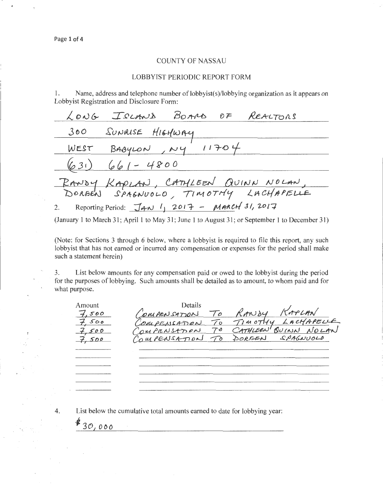$\overline{4}$ .

30,000

## **COUNTY OF NASSAU**

## **LOBBYIST PERIODIC REPORT FORM**

Name, address and telephone number of lobbyist(s)/lobbying organization as it appears on 1. Lobbyist Registration and Disclosure Form:

|       | LONG ISLAND BOARD OF REALTORS                                      |
|-------|--------------------------------------------------------------------|
| 300   | SUNRISE HIGHWAY                                                    |
|       | WEST BABYLON, $\mu$ 4 $11704$                                      |
| (631) | $661 - 4800$                                                       |
|       | RANDY KAPLAN, CATHLEEN QUINN NOLAN,                                |
|       |                                                                    |
|       | 2. Reporting Period: $\overline{J}$ AN $1$ , 2017 - MARCH 31, 2017 |

(January 1 to March 31; April 1 to May 31; June 1 to August 31; or September 1 to December 31)

(Note: for Sections 3 through 6 below, where a lobbyist is required to file this report, any such lobbyist that has not earned or incurred any compensation or expenses for the period shall make such a statement herein)

List below amounts for any compensation paid or owed to the lobbyist during the period  $3.$ for the purposes of lobbying. Such amounts shall be detailed as to amount, to whom paid and for what purpose.

| Amount             | Details |                                                                    |  |
|--------------------|---------|--------------------------------------------------------------------|--|
|                    |         |                                                                    |  |
| $7,500$<br>$7,500$ |         | COMPENSATION TO RANDY RAPLAN<br>COMPENSATION TO TIMOTHY LACHAPELLE |  |
| 7,500              |         |                                                                    |  |
| 7.500              |         | COMPENSATION TO CATHLEEN QUINN NOLAN                               |  |
|                    |         |                                                                    |  |
|                    |         |                                                                    |  |
|                    |         |                                                                    |  |
|                    |         |                                                                    |  |
|                    |         |                                                                    |  |
|                    |         |                                                                    |  |

List below the cumulative total amounts earned to date for lobbying year: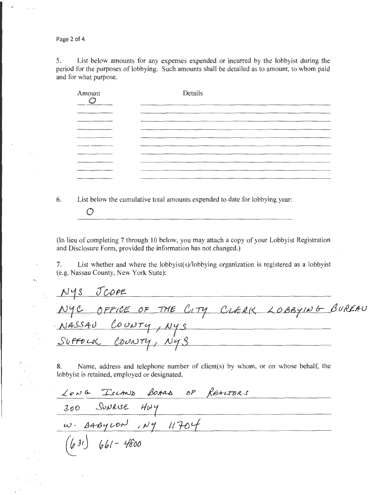Page 2 of 4

5. List below amounts for any expenses expended or incurred by the lobbyist during the period for the purposes of lobbying. Such amounts shall be detailed as to amount, to whom paid and for what purpose.

| Amount | Details |
|--------|---------|
|        |         |
|        |         |
|        |         |
|        |         |
|        |         |
|        |         |
| ------ |         |
|        |         |

6. List below the cumulative total amounts expended to date for lobbying year:

*0* 

(In lieu of completing 7 through 10 below, you may attach a copy of your Lobbyist Registration and Disclosure Form, provided the information has not changed.)

7. List whether and where the Jobbyist(s)/lobbying organization is registered as a lobbyist (e.g. Nassau County, New York State):

NYS JCOPE OFFICE OF THE CITY touJJr1 I */Jy.s*  SUFFOLK COUNTY, NYS

8. Name, address and telephone number of client(s) by whom, or on whose behalf, the

lobbyist is retained, employed or designated.<br>  $200$  SUVRUSE HWY<br>  $w \cdot 848y \cdot 00^1$ ,  $Ny \cdot 1704$ <br>
(631) 661 - 4600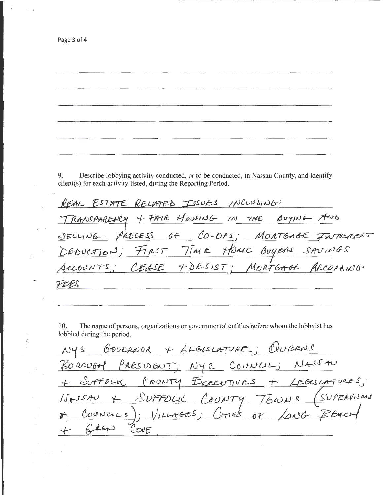Page 3 of 4

Describe lobbying activity conducted, or to be conducted, in Nassau County, and identify 9. client(s) for each activity listed, during the Reporting Period.

REAL ESTATE RELATED ISSUES INCLUSING: TRANSPARENCY + FAIR HOUSING IN THE BUYING AND DEDUCTION; FIRST TIME HOME BUYERS SAUINGS<br>ACCOUNTS; CEASE +DESIST; MORTGAGE RECONSING FEES

10. The name of persons, organizations or governmental entities before whom the lobbyist has lobbied during the period.

NYS GOVERNOR + LEGISLATURE; QUEENS<br>BOROUGH PRESIDENT; NYC COUNCIL; NASSAU<br>+ SUFFOLK (OUNTY EXECUTIVES + LEGESLATURES;<br>NASSAU + SUFFOLK COUNTY TOWNS (SUPERVISORS) Councies); VILLAGES; CITIES OF LONG BEA COVE